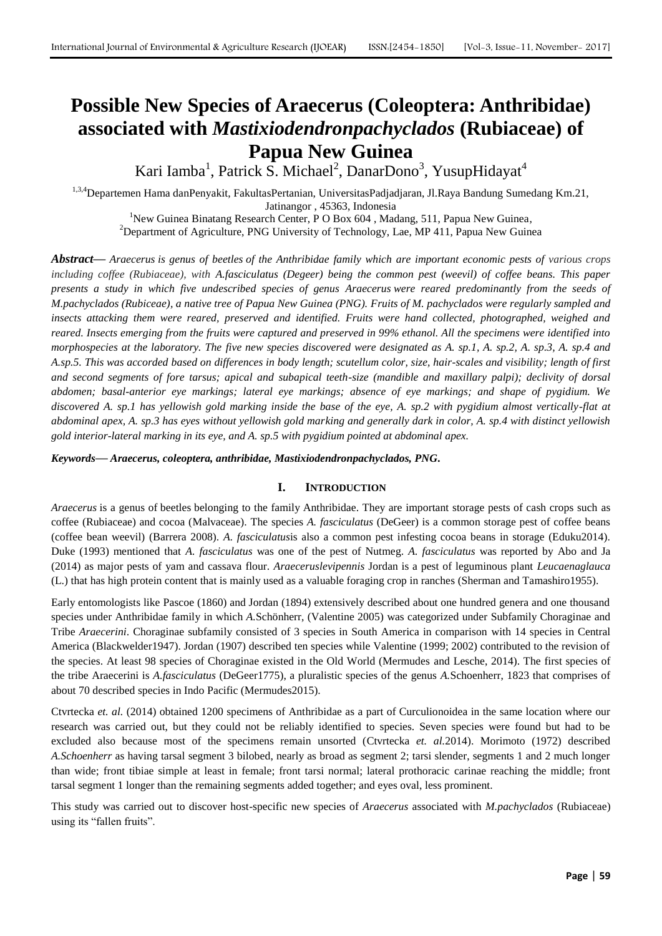# **Possible New Species of Araecerus (Coleoptera: Anthribidae) associated with** *Mastixiodendronpachyclados* **(Rubiaceae) of Papua New Guinea**

Kari Iamba<sup>1</sup>, Patrick S. Michael<sup>2</sup>, DanarDono<sup>3</sup>, YusupHidayat<sup>4</sup>

1,3,4 Departemen Hama danPenyakit, FakultasPertanian, UniversitasPadjadjaran, Jl.Raya Bandung Sumedang Km.21, Jatinangor , 45363, Indonesia

<sup>1</sup>New Guinea Binatang Research Center, P O Box 604 , Madang, 511, Papua New Guinea,

<sup>2</sup>Department of Agriculture, PNG University of Technology, Lae, MP 411, Papua New Guinea

*Abstract***—** *Araecerus is genus of [beetles](https://en.wikipedia.org/wiki/Beetle) of the [Anthribidae](https://en.wikipedia.org/wiki/Anthribidae) family which are important economic pests of various crops including coffee (Rubiaceae), with A.fasciculatus (Degeer) being the common pest (weevil) of coffee beans. This paper presents a study in which five undescribed species of genus Araecerus were reared predominantly from the seeds of M.pachyclados (Rubiceae), a native tree of Papua New Guinea (PNG). Fruits of M. pachyclados were regularly sampled and insects attacking them were reared, preserved and identified. Fruits were hand collected, photographed, weighed and reared. Insects emerging from the fruits were captured and preserved in 99% ethanol. All the specimens were identified into morphospecies at the laboratory. The five new species discovered were designated as A. sp.1, A. sp.2, A. sp.3, A. sp.4 and A.sp.5. This was accorded based on differences in body length; scutellum color, size, hair-scales and visibility; length of first and second segments of fore tarsus; apical and subapical teeth-size (mandible and maxillary palpi); declivity of dorsal abdomen; basal-anterior eye markings; lateral eye markings; absence of eye markings; and shape of pygidium. We discovered A. sp.1 has yellowish gold marking inside the base of the eye, A. sp.2 with pygidium almost vertically-flat at abdominal apex, A. sp.3 has eyes without yellowish gold marking and generally dark in color, A. sp.4 with distinct yellowish gold interior-lateral marking in its eye, and A. sp.5 with pygidium pointed at abdominal apex.*

*Keywords***—** *Araecerus, coleoptera, anthribidae, Mastixiodendronpachyclados, PNG.*

# **I. INTRODUCTION**

*Araecerus* is a genus of [beetles](https://en.wikipedia.org/wiki/Beetle) belonging to the family [Anthribidae.](https://en.wikipedia.org/wiki/Anthribidae) They are important storage pests of cash crops such as coffee (Rubiaceae) and cocoa (Malvaceae). The species *A. fasciculatus* (DeGeer) is a common storage pest of coffee beans (coffee bean weevil) (Barrera 2008). *A. fasciculatus*is also a common pest infesting cocoa beans in storage (Eduku2014). Duke (1993) mentioned that *A. fasciculatus* was one of the pest of Nutmeg. *A. fasciculatus* was reported by Abo and Ja (2014) as major pests of yam and cassava flour. *Araeceruslevipennis* Jordan is a pest of leguminous plant *Leucaenaglauca* (L.) that has high protein content that is mainly used as a valuable foraging crop in ranches (Sherman and Tamashiro1955).

Early entomologists like Pascoe (1860) and Jordan (1894) extensively described about one hundred genera and one thousand species under Anthribidae family in which *A.*Schönherr, (Valentine 2005) was categorized under Subfamily [Choraginae](https://species.wikimedia.org/wiki/Choraginae) and Tribe *Araecerini*. Choraginae subfamily consisted of 3 species in South America in comparison with 14 species in Central America (Blackwelder1947). Jordan (1907) described ten species while Valentine (1999; 2002) contributed to the revision of the species. At least 98 species of Choraginae existed in the Old World (Mermudes and Lesche, 2014). The first species of the tribe Araecerini is *A.fasciculatus* (DeGeer1775), a pluralistic species of the genus *A.*Schoenherr, 1823 that comprises of about 70 described species in Indo Pacific (Mermudes2015).

Ctvrtecka *et. al.* (2014) obtained 1200 specimens of Anthribidae as a part of Curculionoidea in the same location where our research was carried out, but they could not be reliably identified to species. Seven species were found but had to be excluded also because most of the specimens remain unsorted (Ctvrtecka *et. al.*2014). Morimoto (1972) described *A.Schoenherr* as having tarsal segment 3 bilobed, nearly as broad as segment 2; tarsi slender, segments 1 and 2 much longer than wide; front tibiae simple at least in female; front tarsi normal; lateral prothoracic carinae reaching the middle; front tarsal segment 1 longer than the remaining segments added together; and eyes oval, less prominent.

This study was carried out to discover host-specific new species of *Araecerus* associated with *M.pachyclados* (Rubiaceae) using its "fallen fruits".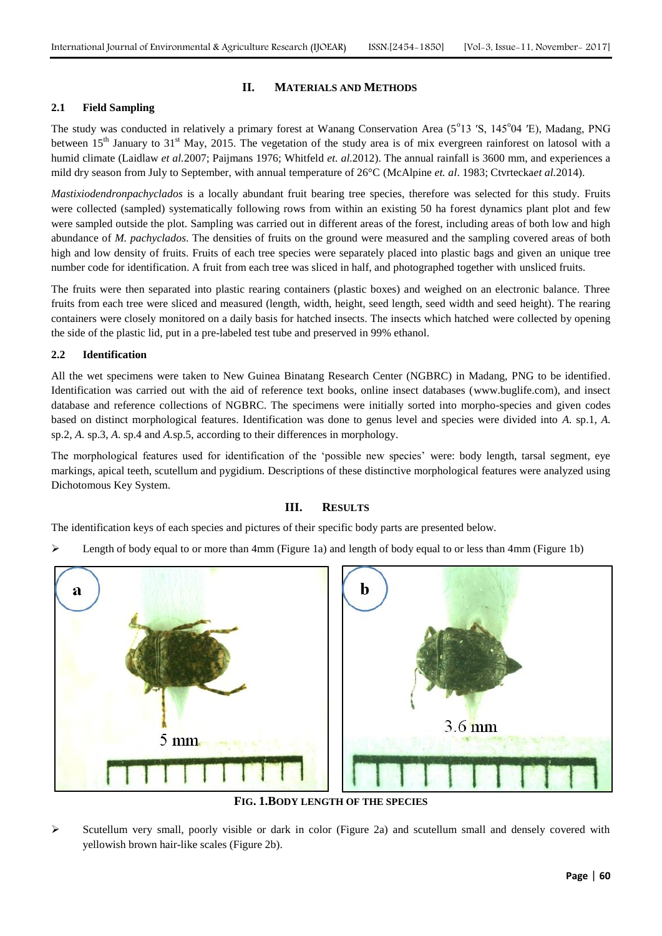## **II. MATERIALS AND METHODS**

## **2.1 Field Sampling**

The study was conducted in relatively a primary forest at Wanang Conservation Area (5°13 'S, 145°04 'E), Madang, PNG between  $15<sup>th</sup>$  January to  $31<sup>st</sup>$  May, 2015. The vegetation of the study area is of mix evergreen rainforest on latosol with a humid climate (Laidlaw *et al.*2007; Paijmans 1976; Whitfeld *et. al.*2012). The annual rainfall is 3600 mm, and experiences a mild dry season from July to September, with annual temperature of 26°C (McAlpine *et. al*. 1983; Ctvrtecka*et al.*2014).

*Mastixiodendronpachyclados* is a locally abundant fruit bearing tree species, therefore was selected for this study. Fruits were collected (sampled) systematically following rows from within an existing 50 ha forest dynamics plant plot and few were sampled outside the plot. Sampling was carried out in different areas of the forest, including areas of both low and high abundance of *M. pachyclados*. The densities of fruits on the ground were measured and the sampling covered areas of both high and low density of fruits. Fruits of each tree species were separately placed into plastic bags and given an unique tree number code for identification. A fruit from each tree was sliced in half, and photographed together with unsliced fruits.

The fruits were then separated into plastic rearing containers (plastic boxes) and weighed on an electronic balance. Three fruits from each tree were sliced and measured (length, width, height, seed length, seed width and seed height). The rearing containers were closely monitored on a daily basis for hatched insects. The insects which hatched were collected by opening the side of the plastic lid, put in a pre-labeled test tube and preserved in 99% ethanol.

#### **2.2 Identification**

All the wet specimens were taken to New Guinea Binatang Research Center (NGBRC) in Madang, PNG to be identified. Identification was carried out with the aid of reference text books, online insect databases [\(www.buglife.com\)](http://www.buglife.com/), and insect database and reference collections of NGBRC. The specimens were initially sorted into morpho-species and given codes based on distinct morphological features. Identification was done to genus level and species were divided into *A.* sp.1, *A.*  sp.2, *A.* sp.3, *A*. sp.4 and *A.*sp.5, according to their differences in morphology.

The morphological features used for identification of the "possible new species" were: body length, tarsal segment, eye markings, apical teeth, scutellum and pygidium. Descriptions of these distinctive morphological features were analyzed using Dichotomous Key System.

# **III. RESULTS**

The identification keys of each species and pictures of their specific body parts are presented below.

Eength of body equal to or more than 4mm (Figure 1a) and length of body equal to or less than 4mm (Figure 1b)



**FIG. 1.BODY LENGTH OF THE SPECIES**

 Scutellum very small, poorly visible or dark in color (Figure 2a) and scutellum small and densely covered with yellowish brown hair-like scales (Figure 2b).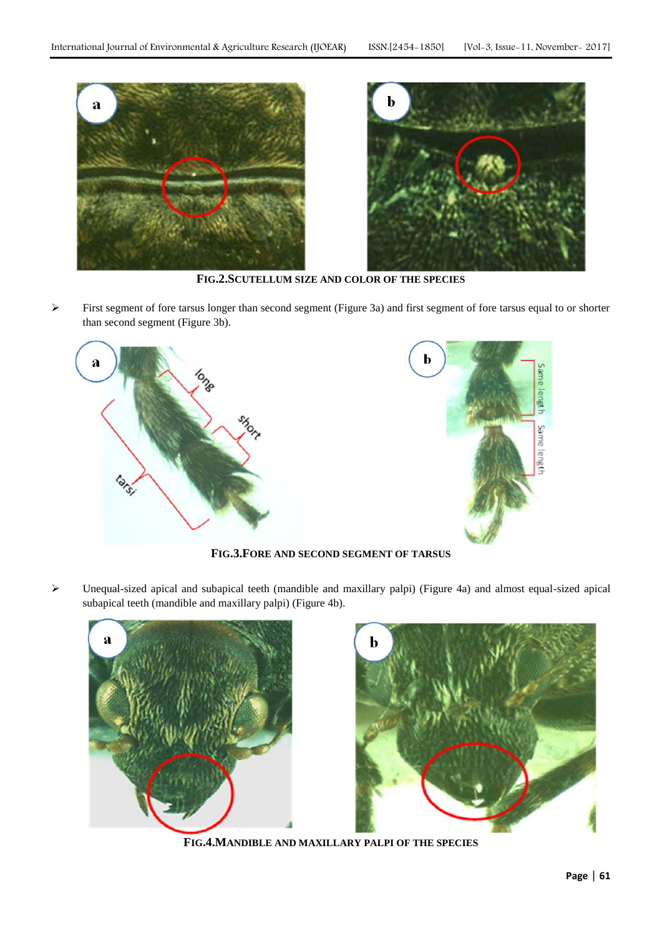



**FIG.2.SCUTELLUM SIZE AND COLOR OF THE SPECIES**

 First segment of fore tarsus longer than second segment (Figure 3a) and first segment of fore tarsus equal to or shorter than second segment (Figure 3b).



**FIG.3.FORE AND SECOND SEGMENT OF TARSUS**

 Unequal-sized apical and subapical teeth (mandible and maxillary palpi) (Figure 4a) and almost equal-sized apical subapical teeth (mandible and maxillary palpi) (Figure 4b).





**FIG.4.MANDIBLE AND MAXILLARY PALPI OF THE SPECIES**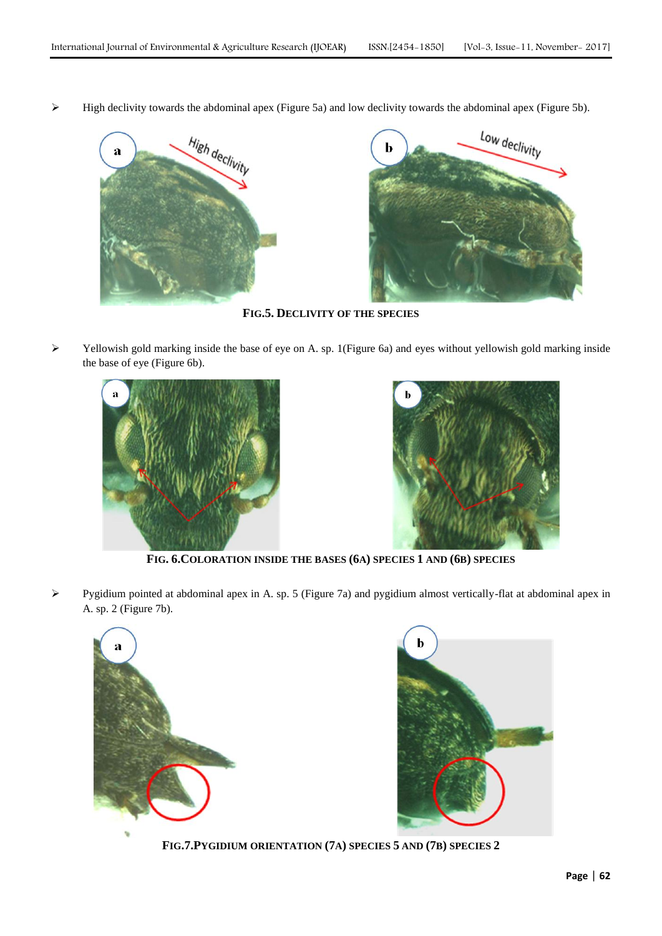High declivity towards the abdominal apex (Figure 5a) and low declivity towards the abdominal apex (Figure 5b).



**FIG.5. DECLIVITY OF THE SPECIES**

 $\triangleright$  Yellowish gold marking inside the base of eye on A. sp. 1(Figure 6a) and eyes without yellowish gold marking inside the base of eye (Figure 6b).





**FIG. 6.COLORATION INSIDE THE BASES (6A) SPECIES 1 AND (6B) SPECIES**

 Pygidium pointed at abdominal apex in A. sp. 5 (Figure 7a) and pygidium almost vertically-flat at abdominal apex in A. sp. 2 (Figure 7b).





**FIG.7.PYGIDIUM ORIENTATION (7A) SPECIES 5 AND (7B) SPECIES 2**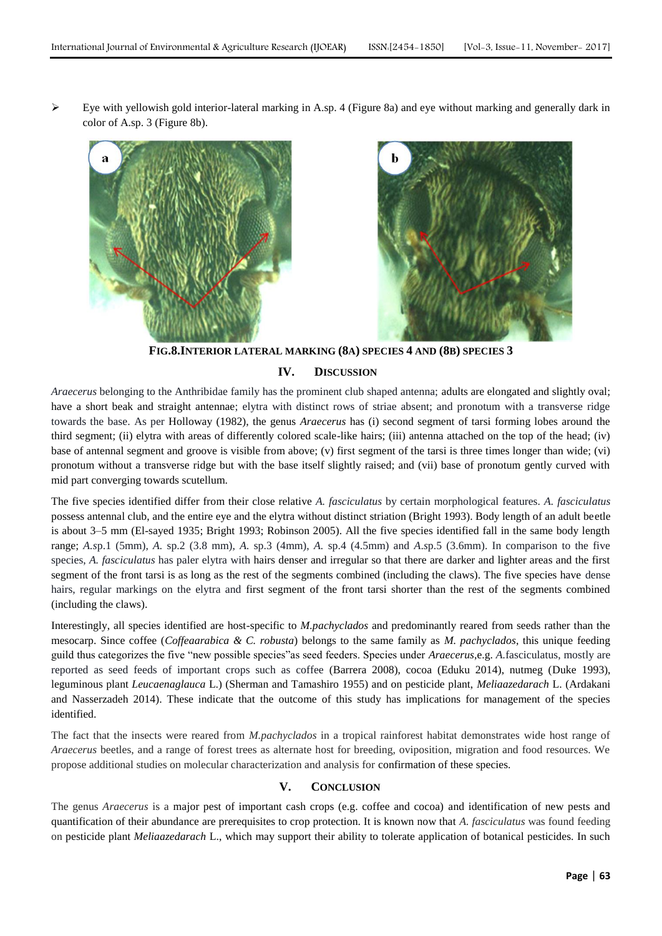$\triangleright$  Eye with yellowish gold interior-lateral marking in A.sp. 4 (Figure 8a) and eye without marking and generally dark in color of A.sp. 3 (Figure 8b).





**FIG.8.INTERIOR LATERAL MARKING (8A) SPECIES 4 AND (8B) SPECIES 3**

## **IV. DISCUSSION**

*Araecerus* belonging to the Anthribidae family has the prominent club shaped antenna; adults are elongated and slightly oval; have a short beak and straight antennae; elytra with distinct rows of striae absent; and pronotum with a transverse ridge towards the base. As per Holloway (1982), the genus *Araecerus* has (i) second segment of tarsi forming lobes around the third segment; (ii) elytra with areas of differently colored scale-like hairs; (iii) antenna attached on the top of the head; (iv) base of antennal segment and groove is visible from above; (v) first segment of the tarsi is three times longer than wide; (vi) pronotum without a transverse ridge but with the base itself slightly raised; and (vii) base of pronotum gently curved with mid part converging towards scutellum.

The five species identified differ from their close relative *A. fasciculatus* by certain morphological features. *A. fasciculatus* possess antennal club, and the entire eye and the elytra without distinct striation (Bright 1993). Body length of an adult beetle is about 3–5 mm (El-sayed 1935; Bright 1993; Robinson 2005). All the five species identified fall in the same body length range; *A.s*p.1 (5mm), *A.* sp.2 (3.8 mm), *A.* sp.3 (4mm), *A.* sp.4 (4.5mm) and *A*.*s*p.5 (3.6mm). In comparison to the five species, *A. fasciculatus* has paler elytra with hairs denser and irregular so that there are darker and lighter areas and the first segment of the front tarsi is as long as the rest of the segments combined (including the claws). The five species have dense hairs, regular markings on the elytra and first segment of the front tarsi shorter than the rest of the segments combined (including the claws).

Interestingly, all species identified are host-specific to *M.pachyclados* and predominantly reared from seeds rather than the mesocarp. Since coffee (*Coffeaarabica & C. robusta*) belongs to the same family as *M. pachyclados*, this unique feeding guild thus categorizes the five "new possible species"as seed feeders. Species under *Araecerus*,e.g. *A.*fasciculatus, mostly are reported as seed feeds of important crops such as coffee (Barrera 2008), cocoa (Eduku 2014), nutmeg (Duke 1993), leguminous plant *Leucaenaglauca* L.) (Sherman and Tamashiro 1955) and on pesticide plant, *Meliaazedarach* L. (Ardakani and Nasserzadeh 2014). These indicate that the outcome of this study has implications for management of the species identified.

The fact that the insects were reared from *M.pachyclados* in a tropical rainforest habitat demonstrates wide host range of *Araecerus* beetles, and a range of forest trees as alternate host for breeding, oviposition, migration and food resources. We propose additional studies on molecular characterization and analysis for confirmation of these species.

# **V. CONCLUSION**

The genus *Araecerus* is a major pest of important cash crops (e.g. coffee and cocoa) and identification of new pests and quantification of their abundance are prerequisites to crop protection. It is known now that *A. fasciculatus* was found feeding on pesticide plant *Meliaazedarach* L., which may support their ability to tolerate application of botanical pesticides. In such